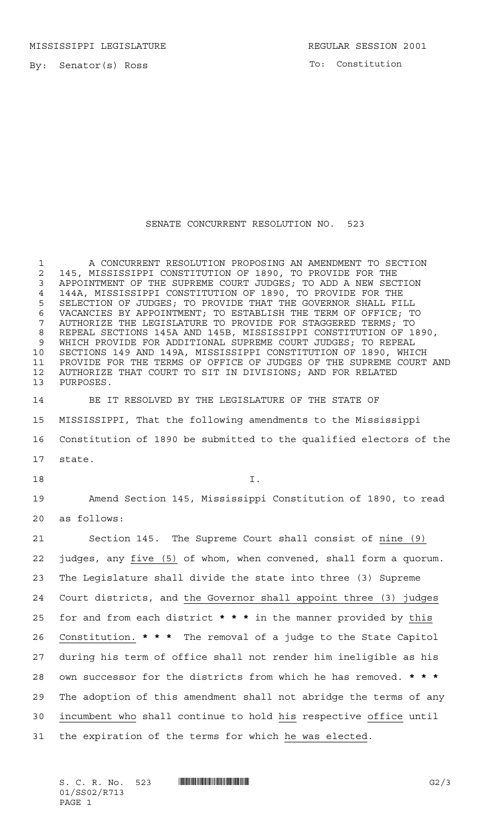By: Senator(s) Ross

To: Constitution

## SENATE CONCURRENT RESOLUTION NO. 523

 A CONCURRENT RESOLUTION PROPOSING AN AMENDMENT TO SECTION 2 145, MISSISSIPPI CONSTITUTION OF 1890, TO PROVIDE FOR THE 3 APPOINTMENT OF THE SUPREME COURT JUDGES: TO ADD A NEW SECT APPOINTMENT OF THE SUPREME COURT JUDGES; TO ADD A NEW SECTION 144A, MISSISSIPPI CONSTITUTION OF 1890, TO PROVIDE FOR THE SELECTION OF JUDGES; TO PROVIDE THAT THE GOVERNOR SHALL FILL VACANCIES BY APPOINTMENT; TO ESTABLISH THE TERM OF OFFICE; TO AUTHORIZE THE LEGISLATURE TO PROVIDE FOR STAGGERED TERMS; TO REPEAL SECTIONS 145A AND 145B, MISSISSIPPI CONSTITUTION OF 1890, WHICH PROVIDE FOR ADDITIONAL SUPREME COURT JUDGES; TO REPEAL SECTIONS 149 AND 149A, MISSISSIPPI CONSTITUTION OF 1890, WHICH PROVIDE FOR THE TERMS OF OFFICE OF JUDGES OF THE SUPREME COURT AND AUTHORIZE THAT COURT TO SIT IN DIVISIONS; AND FOR RELATED PURPOSES. BE IT RESOLVED BY THE LEGISLATURE OF THE STATE OF MISSISSIPPI, That the following amendments to the Mississippi Constitution of 1890 be submitted to the qualified electors of the state. I. Amend Section 145, Mississippi Constitution of 1890, to read as follows: Section 145. The Supreme Court shall consist of nine (9) judges, any five (5) of whom, when convened, shall form a quorum. The Legislature shall divide the state into three (3) Supreme Court districts, and the Governor shall appoint three (3) judges for and from each district **\*\*\*** in the manner provided by this Constitution. **\*\*\*** The removal of a judge to the State Capitol during his term of office shall not render him ineligible as his own successor for the districts from which he has removed. **\*\*\*** The adoption of this amendment shall not abridge the terms of any incumbent who shall continue to hold his respective office until the expiration of the terms for which he was elected.

S. C. R. No. 523 \*SS02/R713\* G2/3 01/SS02/R713 PAGE 1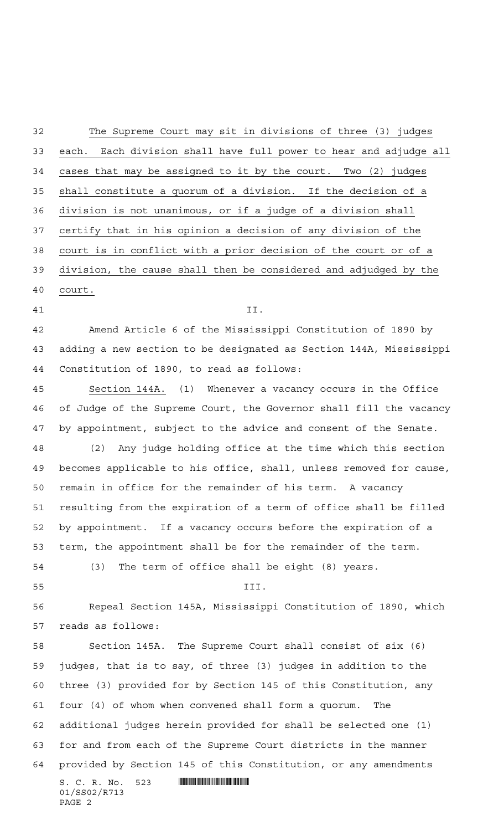The Supreme Court may sit in divisions of three (3) judges each. Each division shall have full power to hear and adjudge all cases that may be assigned to it by the court. Two (2) judges shall constitute a quorum of a division. If the decision of a division is not unanimous, or if a judge of a division shall certify that in his opinion a decision of any division of the court is in conflict with a prior decision of the court or of a division, the cause shall then be considered and adjudged by the court. II. Amend Article 6 of the Mississippi Constitution of 1890 by adding a new section to be designated as Section 144A, Mississippi Constitution of 1890, to read as follows: Section 144A. (1) Whenever a vacancy occurs in the Office of Judge of the Supreme Court, the Governor shall fill the vacancy by appointment, subject to the advice and consent of the Senate. (2) Any judge holding office at the time which this section becomes applicable to his office, shall, unless removed for cause, remain in office for the remainder of his term. A vacancy resulting from the expiration of a term of office shall be filled by appointment. If a vacancy occurs before the expiration of a term, the appointment shall be for the remainder of the term. (3) The term of office shall be eight (8) years. III. Repeal Section 145A, Mississippi Constitution of 1890, which reads as follows: Section 145A. The Supreme Court shall consist of six (6) judges, that is to say, of three (3) judges in addition to the three (3) provided for by Section 145 of this Constitution, any four (4) of whom when convened shall form a quorum. The additional judges herein provided for shall be selected one (1)

 for and from each of the Supreme Court districts in the manner provided by Section 145 of this Constitution, or any amendments

S. C. R. No. 523 **. SEPTEMBER 1993** 01/SS02/R713 PAGE 2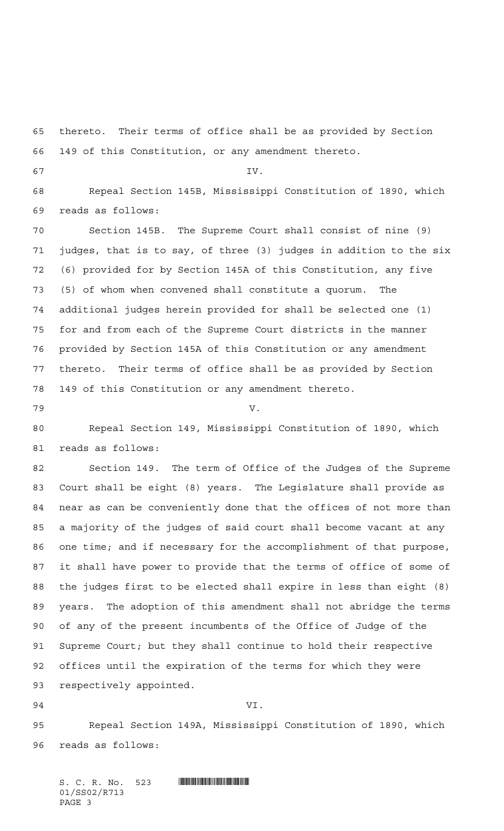thereto. Their terms of office shall be as provided by Section 149 of this Constitution, or any amendment thereto. IV. Repeal Section 145B, Mississippi Constitution of 1890, which reads as follows: Section 145B. The Supreme Court shall consist of nine (9) judges, that is to say, of three (3) judges in addition to the six (6) provided for by Section 145A of this Constitution, any five (5) of whom when convened shall constitute a quorum. The additional judges herein provided for shall be selected one (1) for and from each of the Supreme Court districts in the manner provided by Section 145A of this Constitution or any amendment thereto. Their terms of office shall be as provided by Section 149 of this Constitution or any amendment thereto. V. Repeal Section 149, Mississippi Constitution of 1890, which reads as follows: Section 149. The term of Office of the Judges of the Supreme Court shall be eight (8) years. The Legislature shall provide as near as can be conveniently done that the offices of not more than a majority of the judges of said court shall become vacant at any one time; and if necessary for the accomplishment of that purpose, it shall have power to provide that the terms of office of some of the judges first to be elected shall expire in less than eight (8) years. The adoption of this amendment shall not abridge the terms of any of the present incumbents of the Office of Judge of the Supreme Court; but they shall continue to hold their respective offices until the expiration of the terms for which they were respectively appointed. VI.

 Repeal Section 149A, Mississippi Constitution of 1890, which reads as follows:

S. C. R. No. 523 **. SPORT SEE ASSESS** 01/SS02/R713 PAGE 3